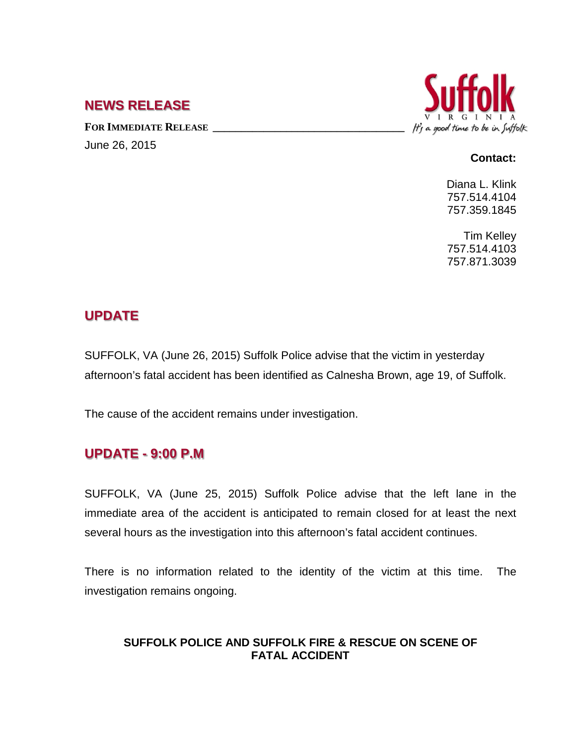### **NEWS RELEASE**

FOR IMMEDIATE RELEASE **\_\_\_\_\_\_\_\_\_\_\_\_\_\_\_\_\_\_\_\_** June 26, 2015



#### **Contact:**

Diana L. Klink 757.514.4104 757.359.1845

Tim Kelley 757.514.4103 757.871.3039

# **UPDATE**

SUFFOLK, VA (June 26, 2015) Suffolk Police advise that the victim in yesterday afternoon's fatal accident has been identified as Calnesha Brown, age 19, of Suffolk.

The cause of the accident remains under investigation.

## **UPDATE - 9:00 P.M**

SUFFOLK, VA (June 25, 2015) Suffolk Police advise that the left lane in the immediate area of the accident is anticipated to remain closed for at least the next several hours as the investigation into this afternoon's fatal accident continues.

There is no information related to the identity of the victim at this time. The investigation remains ongoing.

#### **SUFFOLK POLICE AND SUFFOLK FIRE & RESCUE ON SCENE OF FATAL ACCIDENT**